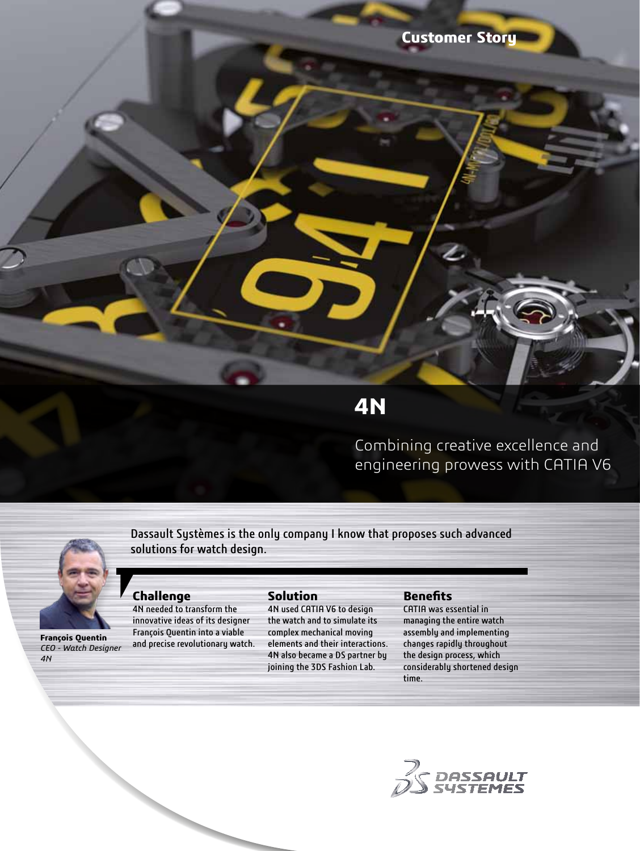

# **4N**

Combining creative excellence and engineering prowess with CATIA V6



**Challenge**

4N needed to transform the innovative ideas of its designer François Quentin into a viable

Dassault Systèmes is the only company I know that proposes such advanced solutions for watch design.

# **François Quentin**  *CEO - Watch Designer*

*4N*

**Solution**

and precise revolutionary watch. 4N used CATIA V6 to design the watch and to simulate its complex mechanical moving elements and their interactions. 4N also became a DS partner by joining the 3DS Fashion Lab.

#### **Benefits**

CATIA was essential in managing the entire watch assembly and implementing changes rapidly throughout the design process, which considerably shortened design time.

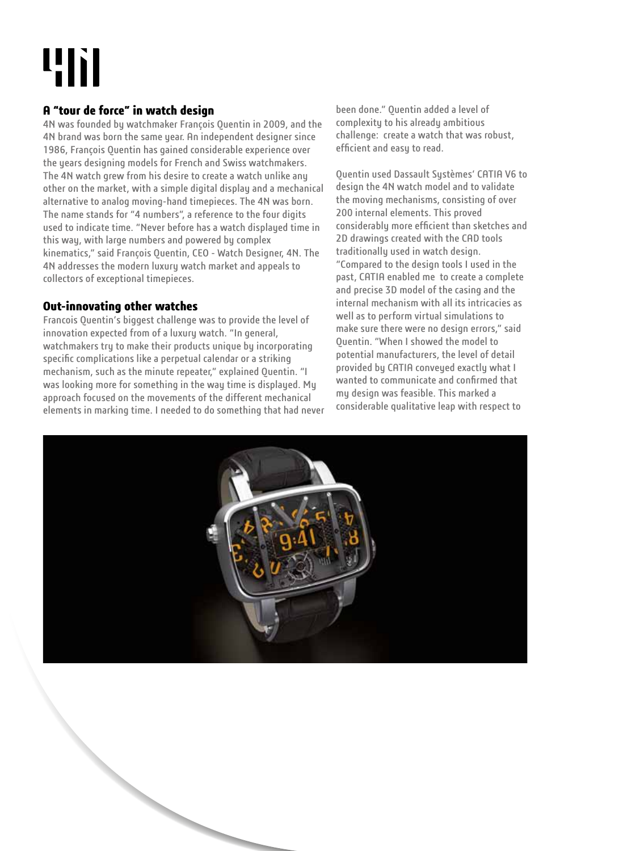# 4h

# **A "tour de force" in watch design**

4N was founded by watchmaker François Quentin in 2009, and the 4N brand was born the same year. An independent designer since 1986, François Quentin has gained considerable experience over the years designing models for French and Swiss watchmakers. The 4N watch grew from his desire to create a watch unlike any other on the market, with a simple digital display and a mechanical alternative to analog moving-hand timepieces. The 4N was born. The name stands for "4 numbers", a reference to the four digits used to indicate time. "Never before has a watch displayed time in this way, with large numbers and powered by complex kinematics," said François Quentin, CEO - Watch Designer, 4N. The 4N addresses the modern luxury watch market and appeals to collectors of exceptional timepieces.

## **Out-innovating other watches**

Francois Quentin's biggest challenge was to provide the level of innovation expected from of a luxury watch. "In general, watchmakers try to make their products unique by incorporating specific complications like a perpetual calendar or a striking mechanism, such as the minute repeater," explained Quentin. "I was looking more for something in the way time is displayed. My approach focused on the movements of the different mechanical elements in marking time. I needed to do something that had never

been done." Quentin added a level of complexity to his already ambitious challenge: create a watch that was robust, efficient and easy to read.

Quentin used Dassault Systèmes' CATIA V6 to design the 4N watch model and to validate the moving mechanisms, consisting of over 200 internal elements. This proved considerably more efficient than sketches and 2D drawings created with the CAD tools traditionally used in watch design. "Compared to the design tools I used in the past, CATIA enabled me to create a complete and precise 3D model of the casing and the internal mechanism with all its intricacies as well as to perform virtual simulations to make sure there were no design errors," said Quentin. "When I showed the model to potential manufacturers, the level of detail provided by CATIA conveyed exactly what I wanted to communicate and confirmed that my design was feasible. This marked a considerable qualitative leap with respect to

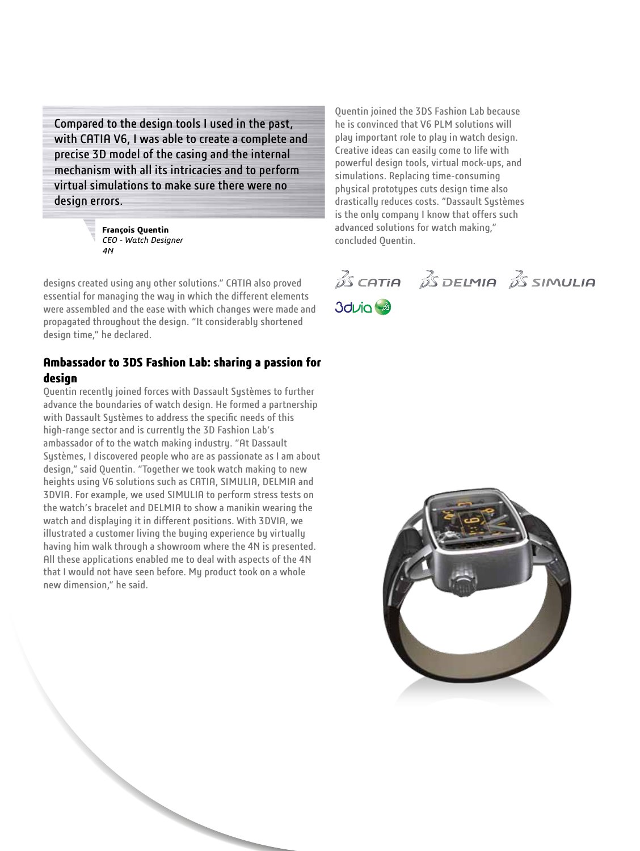Compared to the design tools I used in the past, with CATIA V6, I was able to create a complete and precise 3D model of the casing and the internal mechanism with all its intricacies and to perform virtual simulations to make sure there were no design errors.



designs created using any other solutions." CATIA also proved essential for managing the way in which the different elements were assembled and the ease with which changes were made and propagated throughout the design. "It considerably shortened design time," he declared.

#### **Ambassador to 3DS Fashion Lab: sharing a passion for design**

Quentin recently joined forces with Dassault Systèmes to further advance the boundaries of watch design. He formed a partnership with Dassault Systèmes to address the specific needs of this high-range sector and is currently the 3D Fashion Lab's ambassador of to the watch making industry. "At Dassault Systèmes, I discovered people who are as passionate as I am about design," said Quentin. "Together we took watch making to new heights using V6 solutions such as CATIA, SIMULIA, DELMIA and 3DVIA. For example, we used SIMULIA to perform stress tests on the watch's bracelet and DELMIA to show a manikin wearing the watch and displaying it in different positions. With 3DVIA, we illustrated a customer living the buying experience by virtually having him walk through a showroom where the 4N is presented. All these applications enabled me to deal with aspects of the 4N that I would not have seen before. My product took on a whole new dimension," he said.

Quentin joined the 3DS Fashion Lab because he is convinced that V6 PLM solutions will play important role to play in watch design. Creative ideas can easily come to life with powerful design tools, virtual mock-ups, and simulations. Replacing time-consuming physical prototypes cuts design time also drastically reduces costs. "Dassault Systèmes is the only company I know that offers such advanced solutions for watch making," concluded Quentin.